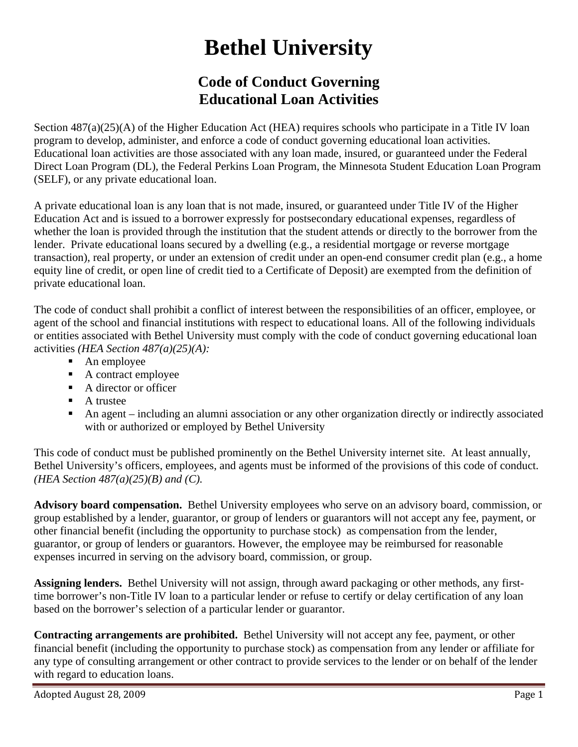## **Bethel University**

## **Code of Conduct Governing Educational Loan Activities**

Section  $487(a)(25)(A)$  of the Higher Education Act (HEA) requires schools who participate in a Title IV loan program to develop, administer, and enforce a code of conduct governing educational loan activities. Educational loan activities are those associated with any loan made, insured, or guaranteed under the Federal Direct Loan Program (DL), the Federal Perkins Loan Program, the Minnesota Student Education Loan Program (SELF), or any private educational loan.

A private educational loan is any loan that is not made, insured, or guaranteed under Title IV of the Higher Education Act and is issued to a borrower expressly for postsecondary educational expenses, regardless of whether the loan is provided through the institution that the student attends or directly to the borrower from the lender. Private educational loans secured by a dwelling (e.g., a residential mortgage or reverse mortgage transaction), real property, or under an extension of credit under an open-end consumer credit plan (e.g., a home equity line of credit, or open line of credit tied to a Certificate of Deposit) are exempted from the definition of private educational loan.

The code of conduct shall prohibit a conflict of interest between the responsibilities of an officer, employee, or agent of the school and financial institutions with respect to educational loans. All of the following individuals or entities associated with Bethel University must comply with the code of conduct governing educational loan activities *(HEA Section 487(a)(25)(A):*

- An employee
- A contract employee
- A director or officer
- $\blacksquare$  A trustee
- An agent including an alumni association or any other organization directly or indirectly associated with or authorized or employed by Bethel University

This code of conduct must be published prominently on the Bethel University internet site. At least annually, Bethel University's officers, employees, and agents must be informed of the provisions of this code of conduct. *(HEA Section 487(a)(25)(B) and (C).*

**Advisory board compensation.** Bethel University employees who serve on an advisory board, commission, or group established by a lender, guarantor, or group of lenders or guarantors will not accept any fee, payment, or other financial benefit (including the opportunity to purchase stock) as compensation from the lender, guarantor, or group of lenders or guarantors. However, the employee may be reimbursed for reasonable expenses incurred in serving on the advisory board, commission, or group.

**Assigning lenders.** Bethel University will not assign, through award packaging or other methods, any firsttime borrower's non-Title IV loan to a particular lender or refuse to certify or delay certification of any loan based on the borrower's selection of a particular lender or guarantor.

**Contracting arrangements are prohibited.** Bethel University will not accept any fee, payment, or other financial benefit (including the opportunity to purchase stock) as compensation from any lender or affiliate for any type of consulting arrangement or other contract to provide services to the lender or on behalf of the lender with regard to education loans.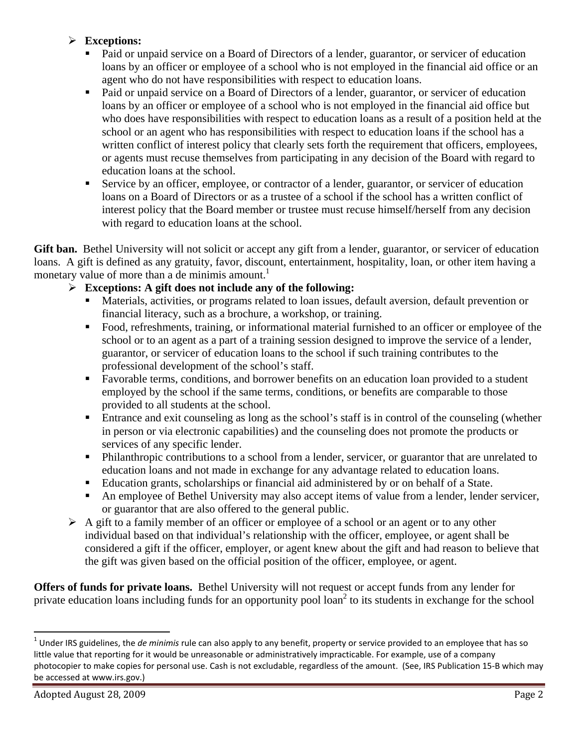## ¾ **Exceptions:**

- Paid or unpaid service on a Board of Directors of a lender, guarantor, or servicer of education loans by an officer or employee of a school who is not employed in the financial aid office or an agent who do not have responsibilities with respect to education loans.
- Paid or unpaid service on a Board of Directors of a lender, guarantor, or servicer of education loans by an officer or employee of a school who is not employed in the financial aid office but who does have responsibilities with respect to education loans as a result of a position held at the school or an agent who has responsibilities with respect to education loans if the school has a written conflict of interest policy that clearly sets forth the requirement that officers, employees, or agents must recuse themselves from participating in any decision of the Board with regard to education loans at the school.
- Service by an officer, employee, or contractor of a lender, guarantor, or servicer of education loans on a Board of Directors or as a trustee of a school if the school has a written conflict of interest policy that the Board member or trustee must recuse himself/herself from any decision with regard to education loans at the school.

Gift ban. Bethel University will not solicit or accept any gift from a lender, guarantor, or servicer of education loans. A gift is defined as any gratuity, favor, discount, entertainment, hospitality, loan, or other item having a monetary value of more than a de minimis amount.<sup>1</sup>

## ¾ **Exceptions: A gift does not include any of the following:**

- Materials, activities, or programs related to loan issues, default aversion, default prevention or financial literacy, such as a brochure, a workshop, or training.
- Food, refreshments, training, or informational material furnished to an officer or employee of the school or to an agent as a part of a training session designed to improve the service of a lender, guarantor, or servicer of education loans to the school if such training contributes to the professional development of the school's staff.
- Favorable terms, conditions, and borrower benefits on an education loan provided to a student employed by the school if the same terms, conditions, or benefits are comparable to those provided to all students at the school.
- Entrance and exit counseling as long as the school's staff is in control of the counseling (whether in person or via electronic capabilities) and the counseling does not promote the products or services of any specific lender.
- **Philanthropic contributions to a school from a lender, servicer, or guarantor that are unrelated to** education loans and not made in exchange for any advantage related to education loans.
- Education grants, scholarships or financial aid administered by or on behalf of a State.
- An employee of Bethel University may also accept items of value from a lender, lender servicer, or guarantor that are also offered to the general public.
- $\triangleright$  A gift to a family member of an officer or employee of a school or an agent or to any other individual based on that individual's relationship with the officer, employee, or agent shall be considered a gift if the officer, employer, or agent knew about the gift and had reason to believe that the gift was given based on the official position of the officer, employee, or agent.

**Offers of funds for private loans.** Bethel University will not request or accept funds from any lender for private education loans including funds for an opportunity pool loan<sup>2</sup> to its students in exchange for the school

<sup>1</sup> Under IRS guidelines, the *de minimis* rule can also apply to any benefit, property or service provided to an employee that has so little value that reporting for it would be unreasonable or administratively impracticable. For example, use of a company photocopier to make copies for personal use. Cash is not excludable, regardless of the amount. (See, IRS Publication 15‐B which may be accessed at www.irs.gov.)